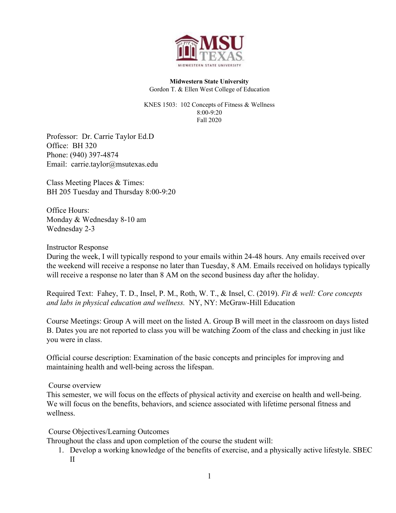

**Midwestern State University** Gordon T. & Ellen West College of Education

KNES 1503: 102 Concepts of Fitness & Wellness 8:00-9:20 Fall 2020

Professor: Dr. Carrie Taylor Ed.D Office: BH 320 Phone: (940) 397-4874 Email: carrie.taylor@msutexas.edu

Class Meeting Places & Times: BH 205 Tuesday and Thursday 8:00-9:20

Office Hours: Monday & Wednesday 8-10 am Wednesday 2-3

# Instructor Response

During the week, I will typically respond to your emails within 24-48 hours. Any emails received over the weekend will receive a response no later than Tuesday, 8 AM. Emails received on holidays typically will receive a response no later than 8 AM on the second business day after the holiday.

Required Text: Fahey, T. D., Insel, P. M., Roth, W. T., & Insel, C. (2019). *Fit & well: Core concepts and labs in physical education and wellness.* NY, NY: McGraw-Hill Education

Course Meetings: Group A will meet on the listed A. Group B will meet in the classroom on days listed B. Dates you are not reported to class you will be watching Zoom of the class and checking in just like you were in class.

Official course description: Examination of the basic concepts and principles for improving and maintaining health and well-being across the lifespan.

# Course overview

This semester, we will focus on the effects of physical activity and exercise on health and well-being. We will focus on the benefits, behaviors, and science associated with lifetime personal fitness and wellness.

Course Objectives/Learning Outcomes

Throughout the class and upon completion of the course the student will:

1. Develop a working knowledge of the benefits of exercise, and a physically active lifestyle. SBEC II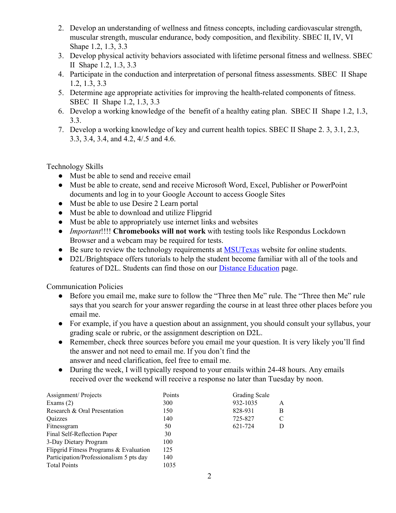- 2. Develop an understanding of wellness and fitness concepts, including cardiovascular strength, muscular strength, muscular endurance, body composition, and flexibility. SBEC II, IV, VI Shape 1.2, 1.3, 3.3
- 3. Develop physical activity behaviors associated with lifetime personal fitness and wellness. SBEC II Shape 1.2, 1.3, 3.3
- 4. Participate in the conduction and interpretation of personal fitness assessments. SBEC II Shape 1.2, 1.3, 3.3
- 5. Determine age appropriate activities for improving the health-related components of fitness. SBEC II Shape 1.2, 1.3, 3.3
- 6. Develop a working knowledge of the benefit of a healthy eating plan. SBEC II Shape 1.2, 1.3, 3.3.
- 7. Develop a working knowledge of key and current health topics. SBEC II Shape 2. 3, 3.1, 2.3, 3.3, 3.4, 3.4, and 4.2, 4/.5 and 4.6.

Technology Skills

- Must be able to send and receive email
- Must be able to create, send and receive Microsoft Word, Excel, Publisher or PowerPoint documents and log in to your Google Account to access Google Sites
- Must be able to use Desire 2 Learn portal
- Must be able to download and utilize Flipgrid
- Must be able to appropriately use internet links and websites
- *Important*!!!! **Chromebooks will not work** with testing tools like Respondus Lockdown Browser and a webcam may be required for tests.
- Be sure to review the technology requirements at [MSUTexas](https://msutexas.edu/distance/d2l-technical-requirements.php) website for online students.
- D2L/Brightspace offers tutorials to help the student become familiar with all of the tools and features of D2L. Students can find those on our [Distance Education](https://msutexas.edu/distance/resources.php) page.

Communication Policies

- Before you email me, make sure to follow the "Three then Me" rule. The "Three then Me" rule says that you search for your answer regarding the course in at least three other places before you email me.
- For example, if you have a question about an assignment, you should consult your syllabus, your grading scale or rubric, or the assignment description on D2L.
- Remember, check three sources before you email me your question. It is very likely you'll find the answer and not need to email me. If you don't find the answer and need clarification, feel free to email me.
- During the week, I will typically respond to your emails within 24-48 hours. Any emails received over the weekend will receive a response no later than Tuesday by noon.

| Points | Grading Scale |   |
|--------|---------------|---|
| 300    | 932-1035      | A |
| 150    | 828-931       | B |
| 140    | 725-827       | C |
| 50     | 621-724       | D |
| 30     |               |   |
| 100    |               |   |
| 125    |               |   |
| 140    |               |   |
| 1035   |               |   |
|        |               |   |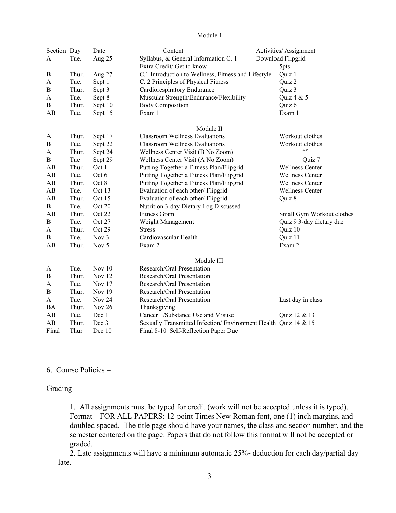## Module I

| Section Day      |                | Date     | Content                                                        | Activities/ Assignment    |
|------------------|----------------|----------|----------------------------------------------------------------|---------------------------|
| A                | Tue.<br>Aug 25 |          | Syllabus, & General Information C. 1                           | Download Flipgrid         |
|                  |                |          | Extra Credit/ Get to know                                      | 5pts                      |
| B                | Thur.          | Aug 27   | C.1 Introduction to Wellness, Fitness and Lifestyle            | Quiz 1                    |
| A                | Tue.           | Sept 1   | C. 2 Principles of Physical Fitness                            | Quiz 2                    |
| B                | Thur.          | Sept 3   | Cardiorespiratory Endurance                                    | Quiz 3                    |
| A                | Tue.           | Sept 8   | Muscular Strength/Endurance/Flexibility                        | Quiz 4 & 5                |
| $\bf{B}$         | Thur.          | Sept 10  | <b>Body Composition</b>                                        | Quiz 6                    |
| AB               | Tue.           | Sept 15  | Exam 1                                                         | Exam 1                    |
|                  |                |          | Module II                                                      |                           |
| A                | Thur.          | Sept 17  | <b>Classroom Wellness Evaluations</b>                          | Workout clothes           |
| B                | Tue.           | Sept 22  | <b>Classroom Wellness Evaluations</b>                          | Workout clothes           |
| A                | Thur.          | Sept 24  | Wellness Center Visit (B No Zoom)                              | $\cdots$                  |
| $\bf{B}$         | Tue            | Sept 29  | Wellness Center Visit (A No Zoom)                              | Quiz 7                    |
| AB               | Thur.          | Oct 1    | Putting Together a Fitness Plan/Flipgrid                       | <b>Wellness Center</b>    |
| AB               | Tue.           | Oct 6    | Putting Together a Fitness Plan/Flipgrid                       | <b>Wellness Center</b>    |
| AB               | Thur.          | Oct 8    | Putting Together a Fitness Plan/Flipgrid                       | <b>Wellness Center</b>    |
| AB               | Tue.           | Oct 13   | Evaluation of each other/ Flipgrid                             | <b>Wellness Center</b>    |
| AB               | Thur.          | Oct 15   | Evaluation of each other/ Flipgrid                             | Quiz 8                    |
| B                | Tue.           | Oct 20   | Nutrition 3-day Dietary Log Discussed                          |                           |
| AB               | Thur.          | Oct 22   | Fitness Gram                                                   | Small Gym Workout clothes |
| $\bf{B}$         | Tue.           | Oct 27   | Weight Management                                              | Quiz 9 3-day dietary due  |
| A                | Thur.          | Oct 29   | <b>Stress</b>                                                  | Quiz 10                   |
| $\, {\bf B}$     | Tue.           | Nov $3$  | Cardiovascular Health                                          | Quiz 11                   |
| AB               | Thur.          | Nov 5    | Exam 2                                                         | Exam 2                    |
|                  |                |          | Module III                                                     |                           |
| A                | Tue.           | Nov $10$ | Research/Oral Presentation                                     |                           |
| $\boldsymbol{B}$ | Thur.          | Nov 12   | Research/Oral Presentation                                     |                           |
| A                | Tue.           | Nov $17$ | Research/Oral Presentation                                     |                           |
| $\bf{B}$         | Thur.          | Nov 19   | Research/Oral Presentation                                     |                           |
| A                | Tue.           | Nov $24$ | Research/Oral Presentation                                     | Last day in class         |
| <b>BA</b>        | Thur.          | Nov 26   | Thanksgiving                                                   |                           |
| AB               | Tue.           | Dec 1    | Cancer /Substance Use and Misuse                               | Quiz 12 & 13              |
| AB               | Thur.          | Dec 3    | Sexually Transmitted Infection/Environment Health Quiz 14 & 15 |                           |
| Final            | Thur           | Dec 10   | Final 8-10 Self-Reflection Paper Due                           |                           |

## 6. Course Policies –

# Grading

1. All assignments must be typed for credit (work will not be accepted unless it is typed). Format – FOR ALL PAPERS: 12-point Times New Roman font, one (1) inch margins, and doubled spaced. The title page should have your names, the class and section number, and the semester centered on the page. Papers that do not follow this format will not be accepted or graded.

2. Late assignments will have a minimum automatic 25%- deduction for each day/partial day late.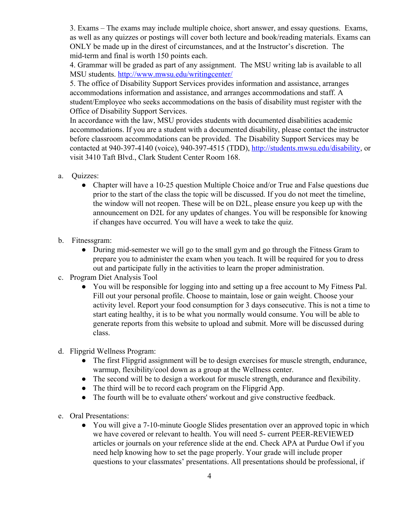3. Exams – The exams may include multiple choice, short answer, and essay questions. Exams, as well as any quizzes or postings will cover both lecture and book/reading materials. Exams can ONLY be made up in the direst of circumstances, and at the Instructor's discretion. The mid-term and final is worth 150 points each.

4. Grammar will be graded as part of any assignment. The MSU writing lab is available to all MSU students.<http://www.mwsu.edu/writingcenter/>

5. The office of Disability Support Services provides information and assistance, arranges accommodations information and assistance, and arranges accommodations and staff. A student/Employee who seeks accommodations on the basis of disability must register with the Office of Disability Support Services.

In accordance with the law, MSU provides students with documented disabilities academic accommodations. If you are a student with a documented disability, please contact the instructor before classroom accommodations can be provided. The Disability Support Services may be contacted at 940-397-4140 (voice), 940-397-4515 (TDD),<http://students.mwsu.edu/disability>, or visit 3410 Taft Blvd., Clark Student Center Room 168.

- a. Quizzes:
	- Chapter will have a 10-25 question Multiple Choice and/or True and False questions due prior to the start of the class the topic will be discussed. If you do not meet the timeline, the window will not reopen. These will be on D2L, please ensure you keep up with the announcement on D2L for any updates of changes. You will be responsible for knowing if changes have occurred. You will have a week to take the quiz.
- b. Fitnessgram:
	- During mid-semester we will go to the small gym and go through the Fitness Gram to prepare you to administer the exam when you teach. It will be required for you to dress out and participate fully in the activities to learn the proper administration.
- c. Program Diet Analysis Tool
	- You will be responsible for logging into and setting up a free account to My Fitness Pal. Fill out your personal profile. Choose to maintain, lose or gain weight. Choose your activity level. Report your food consumption for 3 days consecutive. This is not a time to start eating healthy, it is to be what you normally would consume. You will be able to generate reports from this website to upload and submit. More will be discussed during class.
- d. Flipgrid Wellness Program:
	- The first Flipgrid assignment will be to design exercises for muscle strength, endurance, warmup, flexibility/cool down as a group at the Wellness center.
	- The second will be to design a workout for muscle strength, endurance and flexibility.
	- The third will be to record each program on the Flipgrid App.
	- The fourth will be to evaluate others' workout and give constructive feedback.
- e. Oral Presentations:
	- You will give a 7-10-minute Google Slides presentation over an approved topic in which we have covered or relevant to health. You will need 5- current PEER-REVIEWED articles or journals on your reference slide at the end. Check APA at Purdue Owl if you need help knowing how to set the page properly. Your grade will include proper questions to your classmates' presentations. All presentations should be professional, if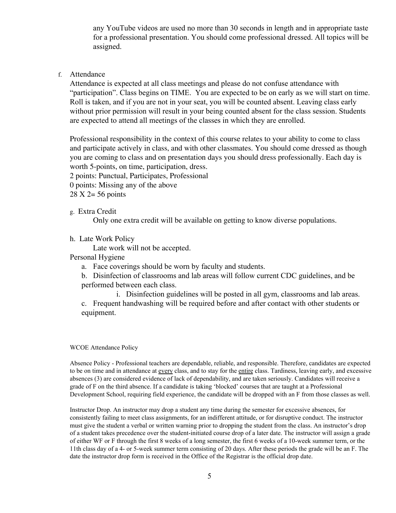any YouTube videos are used no more than 30 seconds in length and in appropriate taste for a professional presentation. You should come professional dressed. All topics will be assigned.

## f. Attendance

Attendance is expected at all class meetings and please do not confuse attendance with "participation". Class begins on TIME. You are expected to be on early as we will start on time. Roll is taken, and if you are not in your seat, you will be counted absent. Leaving class early without prior permission will result in your being counted absent for the class session. Students are expected to attend all meetings of the classes in which they are enrolled.

Professional responsibility in the context of this course relates to your ability to come to class and participate actively in class, and with other classmates. You should come dressed as though you are coming to class and on presentation days you should dress professionally. Each day is worth 5-points, on time, participation, dress.

2 points: Punctual, Participates, Professional

0 points: Missing any of the above

28 X 2= 56 points

g. Extra Credit

Only one extra credit will be available on getting to know diverse populations.

h. Late Work Policy

Late work will not be accepted.

Personal Hygiene

a. Face coverings should be worn by faculty and students.

b. Disinfection of classrooms and lab areas will follow current CDC guidelines, and be performed between each class.

i. Disinfection guidelines will be posted in all gym, classrooms and lab areas.

c. Frequent handwashing will be required before and after contact with other students or equipment.

### WCOE Attendance Policy

Absence Policy - Professional teachers are dependable, reliable, and responsible. Therefore, candidates are expected to be on time and in attendance at every class, and to stay for the entire class. Tardiness, leaving early, and excessive absences (3) are considered evidence of lack of dependability, and are taken seriously. Candidates will receive a grade of F on the third absence. If a candidate is taking 'blocked' courses that are taught at a Professional Development School, requiring field experience, the candidate will be dropped with an F from those classes as well.

Instructor Drop. An instructor may drop a student any time during the semester for excessive absences, for consistently failing to meet class assignments, for an indifferent attitude, or for disruptive conduct. The instructor must give the student a verbal or written warning prior to dropping the student from the class. An instructor's drop of a student takes precedence over the student-initiated course drop of a later date. The instructor will assign a grade of either WF or F through the first 8 weeks of a long semester, the first 6 weeks of a 10-week summer term, or the 11th class day of a 4- or 5-week summer term consisting of 20 days. After these periods the grade will be an F. The date the instructor drop form is received in the Office of the Registrar is the official drop date.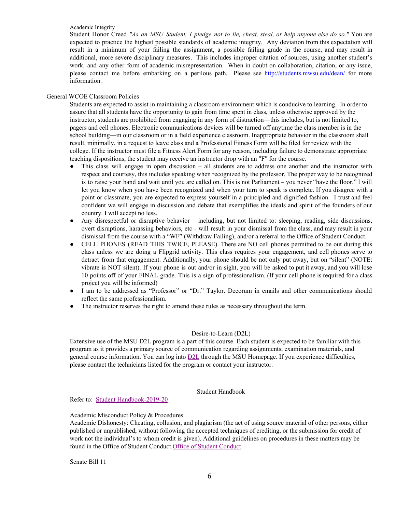#### Academic Integrity

Student Honor Creed "As an MSU Student, I pledge not to lie, cheat, steal, or help anyone else do so." You are expected to practice the highest possible standards of academic integrity. Any deviation from this expectation will result in a minimum of your failing the assignment, a possible failing grade in the course, and may result in additional, more severe disciplinary measures. This includes improper citation of sources, using another student's work, and any other form of academic misrepresentation. When in doubt on collaboration, citation, or any issue, please contact me before embarking on a perilous path. Please see <http://students.mwsu.edu/dean/> for more information.

## General WCOE Classroom Policies

Students are expected to assist in maintaining a classroom environment which is conducive to learning. In order to assure that all students have the opportunity to gain from time spent in class, unless otherwise approved by the instructor, students are prohibited from engaging in any form of distraction—this includes, but is not limited to, pagers and cell phones. Electronic communications devices will be turned off anytime the class member is in the school building—in our classroom or in a field experience classroom. Inappropriate behavior in the classroom shall result, minimally, in a request to leave class and a Professional Fitness Form will be filed for review with the college. If the instructor must file a Fitness Alert Form for any reason, including failure to demonstrate appropriate teaching dispositions, the student may receive an instructor drop with an "F" for the course.

- This class will engage in open discussion all students are to address one another and the instructor with respect and courtesy, this includes speaking when recognized by the professor. The proper way to be recognized is to raise your hand and wait until you are called on. This is not Parliament – you never "have the floor." I will let you know when you have been recognized and when your turn to speak is complete. If you disagree with a point or classmate, you are expected to express yourself in a principled and dignified fashion. I trust and feel confident we will engage in discussion and debate that exemplifies the ideals and spirit of the founders of our country. I will accept no less.
- Any disrespectful or disruptive behavior including, but not limited to: sleeping, reading, side discussions, overt disruptions, harassing behaviors, etc - will result in your dismissal from the class, and may result in your dismissal from the course with a "WF" (Withdraw Failing), and/or a referral to the Office of Student Conduct.
- CELL PHONES (READ THIS TWICE, PLEASE). There are NO cell phones permitted to be out during this class unless we are doing a Flipgrid activity. This class requires your engagement, and cell phones serve to detract from that engagement. Additionally, your phone should be not only put away, but on "silent" (NOTE: vibrate is NOT silent). If your phone is out and/or in sight, you will be asked to put it away, and you will lose 10 points off of your FINAL grade. This is a sign of professionalism. (If your cell phone is required for a class project you will be informed)
- I am to be addressed as "Professor" or "Dr." Taylor. Decorum in emails and other communications should reflect the same professionalism.
- The instructor reserves the right to amend these rules as necessary throughout the term.

### Desire-to-Learn (D2L)

Extensive use of the MSU D2L program is a part of this course. Each student is expected to be familiar with this program as it provides a primary source of communication regarding assignments, examination materials, and general course information. You can log int[o](https://d2l.mwsu.edu/) [D2L](https://d2l.mwsu.edu/) through the MSU Homepage. If you experience difficulties, please contact the technicians listed for the program or contact your instructor.

Student Handbook

Refer to: Student [Handbook-2019-20](https://msutexas.edu/student-life/_assets/files/handbook.pdf)

### Academic Misconduct Policy & Procedures

Academic Dishonesty: Cheating, collusion, and plagiarism (the act of using source material of other persons, either published or unpublished, without following the accepted techniques of crediting, or the submission for credit of work not the individual's to whom credit is given). Additional guidelines on procedures in these matters may be found in the Office of Student Conduct.Office of Student [Conduct](https://mwsu.edu/student-life/conduct/)

Senate Bill 11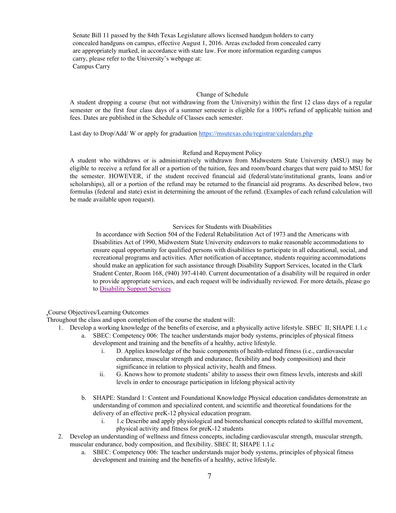Senate Bill 11 passed by the 84th Texas Legislature allows licensed handgun holders to carry concealed handguns on campus, effective August 1, 2016. Areas excluded from concealed carry are appropriately marked, in accordance with state law. For more information regarding campus carry, please refer to the University's webpage at: Campus Carry

### Change of Schedule

A student dropping a course (but not withdrawing from the University) within the first 12 class days of a regular semester or the first four class days of a summer semester is eligible for a 100% refund of applicable tuition and fees. Dates are published in the Schedule of Classes each semester.

Last day to Drop/Add/ W or apply for graduation <https://msutexas.edu/registrar/calendars.php>

## Refund and Repayment Policy

A student who withdraws or is administratively withdrawn from Midwestern State University (MSU) may be eligible to receive a refund for all or a portion of the tuition, fees and room/board charges that were paid to MSU for the semester. HOWEVER, if the student received financial aid (federal/state/institutional grants, loans and/or scholarships), all or a portion of the refund may be returned to the financial aid programs. As described below, two formulas (federal and state) exist in determining the amount of the refund. (Examples of each refund calculation will be made available upon request).

### Services for Students with Disabilities

In accordance with Section 504 of the Federal Rehabilitation Act of 1973 and the Americans with Disabilities Act of 1990, Midwestern State University endeavors to make reasonable accommodations to ensure equal opportunity for qualified persons with disabilities to participate in all educational, social, and recreational programs and activities. After notification of acceptance, students requiring accommodations should make an application for such assistance through Disability Support Services, located in the Clark Student Center, Room 168, (940) 397-4140. Current documentation of a disability will be required in order to provide appropriate services, and each request will be individually reviewed. For more details, please go to [Disability](http://www.mwsu.edu/student-life/disability) Support Services

#### Course Objectives/Learning Outcomes

Throughout the class and upon completion of the course the student will:

- 1. Develop a working knowledge of the benefits of exercise, and a physically active lifestyle. SBEC II; SHAPE 1.1.c
	- a. SBEC: Competency 006: The teacher understands major body systems, principles of physical fitness development and training and the benefits of a healthy, active lifestyle.
		- i. D. Applies knowledge of the basic components of health-related fitness (i.e., cardiovascular endurance, muscular strength and endurance, flexibility and body composition) and their significance in relation to physical activity, health and fitness.
		- ii. G. Knows how to promote students' ability to assess their own fitness levels, interests and skill levels in order to encourage participation in lifelong physical activity
	- b. SHAPE: Standard 1: Content and Foundational Knowledge Physical education candidates demonstrate an understanding of common and specialized content, and scientific and theoretical foundations for the delivery of an effective preK-12 physical education program.
		- i. 1.c Describe and apply physiological and biomechanical concepts related to skillful movement, physical activity and fitness for preK-12 students
- 2. Develop an understanding of wellness and fitness concepts, including cardiovascular strength, muscular strength, muscular endurance, body composition, and flexibility. SBEC II; SHAPE 1.1.c
	- a. SBEC: Competency 006: The teacher understands major body systems, principles of physical fitness development and training and the benefits of a healthy, active lifestyle.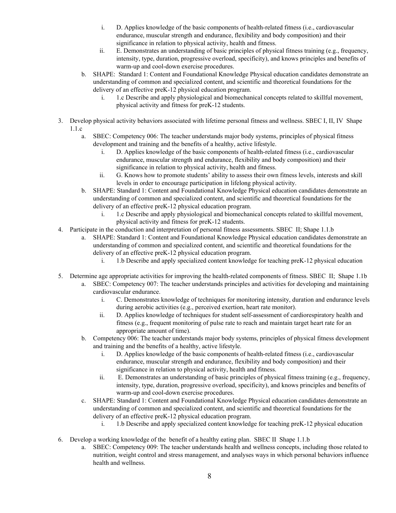- i. D. Applies knowledge of the basic components of health-related fitness (i.e., cardiovascular endurance, muscular strength and endurance, flexibility and body composition) and their significance in relation to physical activity, health and fitness.
- ii. E. Demonstrates an understanding of basic principles of physical fitness training (e.g., frequency, intensity, type, duration, progressive overload, specificity), and knows principles and benefits of warm-up and cool-down exercise procedures.
- b. SHAPE: Standard 1: Content and Foundational Knowledge Physical education candidates demonstrate an understanding of common and specialized content, and scientific and theoretical foundations for the delivery of an effective preK-12 physical education program.
	- i. 1.c Describe and apply physiological and biomechanical concepts related to skillful movement, physical activity and fitness for preK-12 students.
- 3. Develop physical activity behaviors associated with lifetime personal fitness and wellness. SBEC I, II, IV Shape 1.1.c
	- a. SBEC: Competency 006: The teacher understands major body systems, principles of physical fitness development and training and the benefits of a healthy, active lifestyle.
		- i. D. Applies knowledge of the basic components of health-related fitness (i.e., cardiovascular endurance, muscular strength and endurance, flexibility and body composition) and their significance in relation to physical activity, health and fitness.
		- ii. G. Knows how to promote students' ability to assess their own fitness levels, interests and skill levels in order to encourage participation in lifelong physical activity.
	- b. SHAPE: Standard 1: Content and Foundational Knowledge Physical education candidates demonstrate an understanding of common and specialized content, and scientific and theoretical foundations for the delivery of an effective preK-12 physical education program.
		- i. 1.c Describe and apply physiological and biomechanical concepts related to skillful movement, physical activity and fitness for preK-12 students.
- 4. Participate in the conduction and interpretation of personal fitness assessments. SBEC II; Shape 1.1.b
	- a. SHAPE: Standard 1: Content and Foundational Knowledge Physical education candidates demonstrate an understanding of common and specialized content, and scientific and theoretical foundations for the delivery of an effective preK-12 physical education program.
		- i. 1.b Describe and apply specialized content knowledge for teaching preK-12 physical education
- 5. Determine age appropriate activities for improving the health-related components of fitness. SBEC II; Shape 1.1b
	- a. SBEC: Competency 007: The teacher understands principles and activities for developing and maintaining cardiovascular endurance.
		- i. C. Demonstrates knowledge of techniques for monitoring intensity, duration and endurance levels during aerobic activities (e.g., perceived exertion, heart rate monitor).
		- ii. D. Applies knowledge of techniques for student self-assessment of cardiorespiratory health and fitness (e.g., frequent monitoring of pulse rate to reach and maintain target heart rate for an appropriate amount of time).
		- b. Competency 006: The teacher understands major body systems, principles of physical fitness development and training and the benefits of a healthy, active lifestyle.
			- i. D. Applies knowledge of the basic components of health-related fitness (i.e., cardiovascular endurance, muscular strength and endurance, flexibility and body composition) and their significance in relation to physical activity, health and fitness.
			- ii. E. Demonstrates an understanding of basic principles of physical fitness training (e.g., frequency, intensity, type, duration, progressive overload, specificity), and knows principles and benefits of warm-up and cool-down exercise procedures.
		- c. SHAPE: Standard 1: Content and Foundational Knowledge Physical education candidates demonstrate an understanding of common and specialized content, and scientific and theoretical foundations for the delivery of an effective preK-12 physical education program.
			- i. 1.b Describe and apply specialized content knowledge for teaching preK-12 physical education
- 6. Develop a working knowledge of the benefit of a healthy eating plan. SBEC II Shape 1.1.b
	- a. SBEC: Competency 009: The teacher understands health and wellness concepts, including those related to nutrition, weight control and stress management, and analyses ways in which personal behaviors influence health and wellness.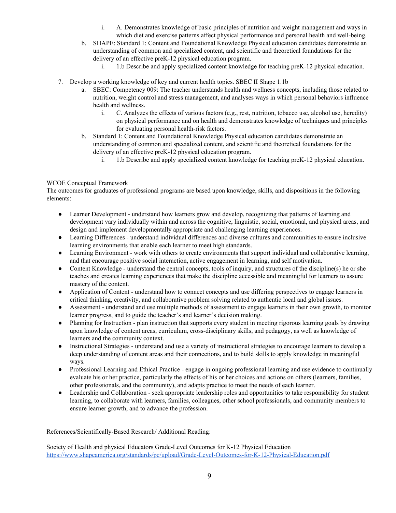- i. A. Demonstrates knowledge of basic principles of nutrition and weight management and ways in which diet and exercise patterns affect physical performance and personal health and well-being.
- b. SHAPE: Standard 1: Content and Foundational Knowledge Physical education candidates demonstrate an understanding of common and specialized content, and scientific and theoretical foundations for the delivery of an effective preK-12 physical education program.
	- i. 1.b Describe and apply specialized content knowledge for teaching preK-12 physical education.
- 7. Develop a working knowledge of key and current health topics. SBEC II Shape 1.1b
	- a. SBEC: Competency 009: The teacher understands health and wellness concepts, including those related to nutrition, weight control and stress management, and analyses ways in which personal behaviors influence health and wellness.
		- i. C. Analyzes the effects of various factors (e.g., rest, nutrition, tobacco use, alcohol use, heredity) on physical performance and on health and demonstrates knowledge of techniques and principles for evaluating personal health-risk factors.
	- b. Standard 1: Content and Foundational Knowledge Physical education candidates demonstrate an understanding of common and specialized content, and scientific and theoretical foundations for the delivery of an effective preK-12 physical education program.
		- i. 1.b Describe and apply specialized content knowledge for teaching preK-12 physical education.

## WCOE Conceptual Framework

The outcomes for graduates of professional programs are based upon knowledge, skills, and dispositions in the following elements:

- Learner Development understand how learners grow and develop, recognizing that patterns of learning and development vary individually within and across the cognitive, linguistic, social, emotional, and physical areas, and design and implement developmentally appropriate and challenging learning experiences.
- Learning Differences understand individual differences and diverse cultures and communities to ensure inclusive learning environments that enable each learner to meet high standards.
- Learning Environment work with others to create environments that support individual and collaborative learning, and that encourage positive social interaction, active engagement in learning, and self motivation.
- Content Knowledge understand the central concepts, tools of inquiry, and structures of the discipline(s) he or she teaches and creates learning experiences that make the discipline accessible and meaningful for learners to assure mastery of the content.
- Application of Content understand how to connect concepts and use differing perspectives to engage learners in critical thinking, creativity, and collaborative problem solving related to authentic local and global issues.
- Assessment understand and use multiple methods of assessment to engage learners in their own growth, to monitor learner progress, and to guide the teacher's and learner's decision making.
- Planning for Instruction plan instruction that supports every student in meeting rigorous learning goals by drawing upon knowledge of content areas, curriculum, cross-disciplinary skills, and pedagogy, as well as knowledge of learners and the community context.
- Instructional Strategies understand and use a variety of instructional strategies to encourage learners to develop a deep understanding of content areas and their connections, and to build skills to apply knowledge in meaningful ways.
- Professional Learning and Ethical Practice engage in ongoing professional learning and use evidence to continually evaluate his or her practice, particularly the effects of his or her choices and actions on others (learners, families, other professionals, and the community), and adapts practice to meet the needs of each learner.
- Leadership and Collaboration seek appropriate leadership roles and opportunities to take responsibility for student learning, to collaborate with learners, families, colleagues, other school professionals, and community members to ensure learner growth, and to advance the profession.

References/Scientifically-Based Research/ Additional Reading:

Society of Health and physical Educators Grade-Level Outcomes for K-12 Physical Education <https://www.shapeamerica.org/standards/pe/upload/Grade-Level-Outcomes-for-K-12-Physical-Education.pdf>